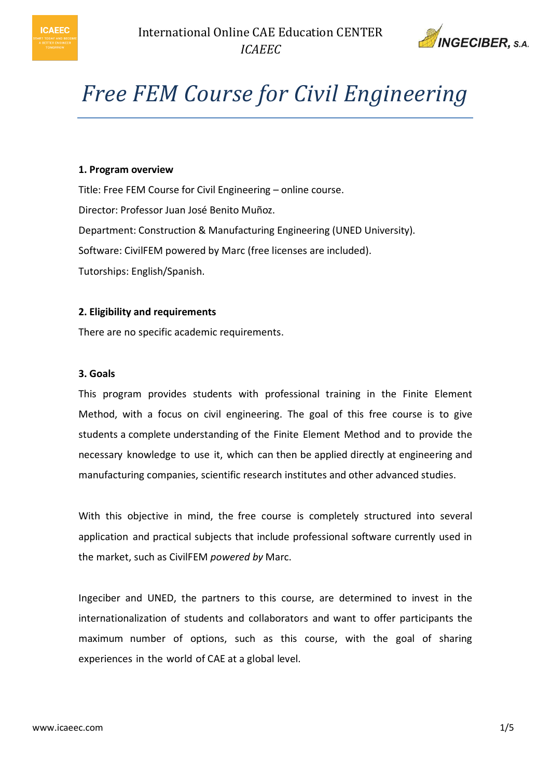



# *Free FEM Course for Civil Engineering*

## **1. Program overview**

Title: Free FEM Course for Civil Engineering – online course. Director: Professor Juan José Benito Muñoz. Department: Construction & Manufacturing Engineering (UNED University). Software: CivilFEM powered by Marc (free licenses are included). Tutorships: English/Spanish.

#### **2. Eligibility and requirements**

There are no specific academic requirements.

#### **3. Goals**

This program provides students with professional training in the Finite Element Method, with a focus on civil engineering. The goal of this free course is to give students a complete understanding of the Finite Element Method and to provide the necessary knowledge to use it, which can then be applied directly at engineering and manufacturing companies, scientific research institutes and other advanced studies.

With this objective in mind, the free course is completely structured into several application and practical subjects that include professional software currently used in the market, such as CivilFEM *powered by* Marc.

Ingeciber and UNED, the partners to this course, are determined to invest in the internationalization of students and collaborators and want to offer participants the maximum number of options, such as this course, with the goal of sharing experiences in the world of CAE at a global level.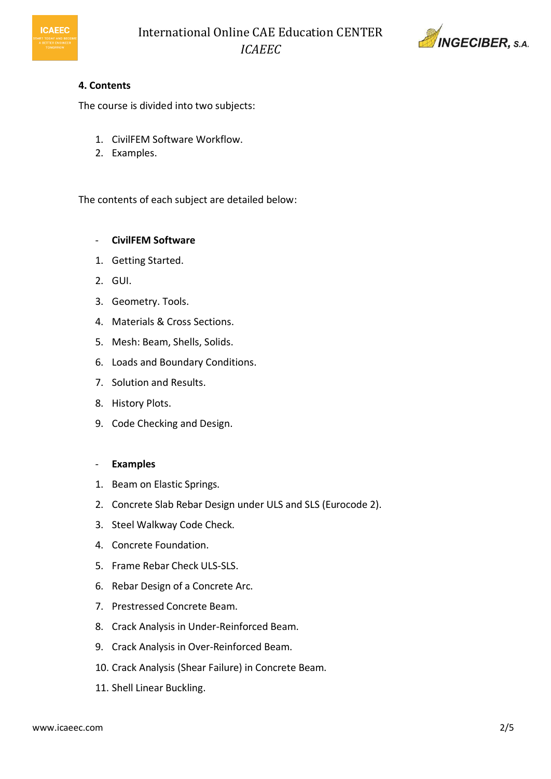



# **4. Contents**

The course is divided into two subjects:

- 1. CivilFEM Software Workflow.
- 2. Examples.

The contents of each subject are detailed below:

# - **CivilFEM Software**

- 1. Getting Started.
- 2. GUI.
- 3. Geometry. Tools.
- 4. Materials & Cross Sections.
- 5. Mesh: Beam, Shells, Solids.
- 6. Loads and Boundary Conditions.
- 7. Solution and Results.
- 8. History Plots.
- 9. Code Checking and Design.

## - **Examples**

- 1. Beam on Elastic Springs.
- 2. Concrete Slab Rebar Design under ULS and SLS (Eurocode 2).
- 3. Steel Walkway Code Check.
- 4. Concrete Foundation.
- 5. Frame Rebar Check ULS-SLS.
- 6. Rebar Design of a Concrete Arc.
- 7. Prestressed Concrete Beam.
- 8. Crack Analysis in Under-Reinforced Beam.
- 9. Crack Analysis in Over-Reinforced Beam.
- 10. Crack Analysis (Shear Failure) in Concrete Beam.
- 11. Shell Linear Buckling.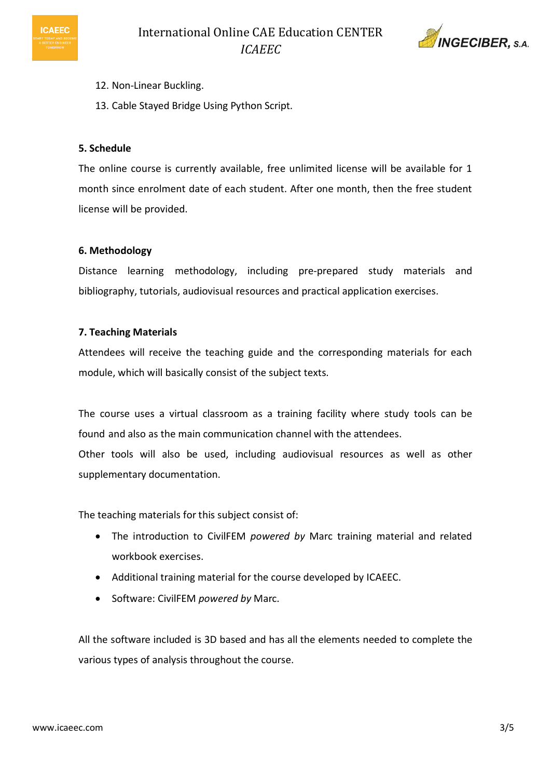

- 12. Non-Linear Buckling.
	- 13. Cable Stayed Bridge Using Python Script.

## **5. Schedule**

**ICAEEC** 

The online course is currently available, free unlimited license will be available for 1 month since enrolment date of each student. After one month, then the free student license will be provided.

#### **6. Methodology**

Distance learning methodology, including pre-prepared study materials and bibliography, tutorials, audiovisual resources and practical application exercises.

#### **7. Teaching Materials**

Attendees will receive the teaching guide and the corresponding materials for each module, which will basically consist of the subject texts.

The course uses a virtual classroom as a training facility where study tools can be found and also as the main communication channel with the attendees. Other tools will also be used, including audiovisual resources as well as other supplementary documentation.

The teaching materials for this subject consist of:

- The introduction to CivilFEM *powered by* Marc training material and related workbook exercises.
- Additional training material for the course developed by ICAEEC.
- Software: CivilFEM *powered by* Marc.

All the software included is 3D based and has all the elements needed to complete the various types of analysis throughout the course.